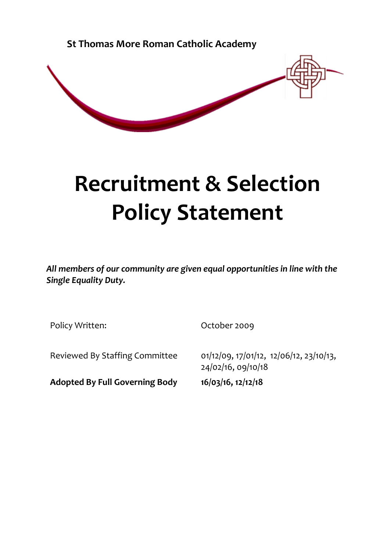**St Thomas More Roman Catholic Academy** 



# **Recruitment & Selection Policy Statement**

*All members of our community are given equal opportunities in line with the Single Equality Duty.*

Policy Written: Contact Contact Contact Contact October 2009

**Adopted By Full Governing Body 16/03/16, 12/12/18**

Reviewed By Staffing Committee 01/12/09, 17/01/12, 12/06/12, 23/10/13, 24/02/16, 09/10/18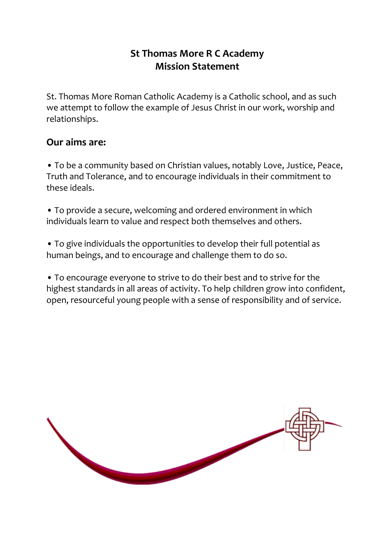# **St Thomas More R C Academy Mission Statement**

St. Thomas More Roman Catholic Academy is a Catholic school, and as such we attempt to follow the example of Jesus Christ in our work, worship and relationships.

# **Our aims are:**

• To be a community based on Christian values, notably Love, Justice, Peace, Truth and Tolerance, and to encourage individuals in their commitment to these ideals.

• To provide a secure, welcoming and ordered environment in which individuals learn to value and respect both themselves and others.

• To give individuals the opportunities to develop their full potential as human beings, and to encourage and challenge them to do so.

• To encourage everyone to strive to do their best and to strive for the highest standards in all areas of activity. To help children grow into confident, open, resourceful young people with a sense of responsibility and of service.

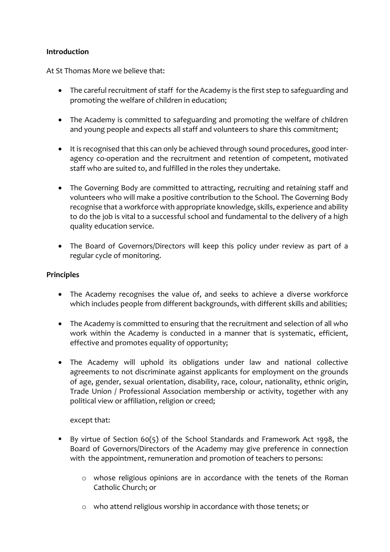# **Introduction**

At St Thomas More we believe that:

- The careful recruitment of staff for the Academy is the first step to safeguarding and promoting the welfare of children in education;
- The Academy is committed to safeguarding and promoting the welfare of children and young people and expects all staff and volunteers to share this commitment;
- It is recognised that this can only be achieved through sound procedures, good interagency co-operation and the recruitment and retention of competent, motivated staff who are suited to, and fulfilled in the roles they undertake.
- The Governing Body are committed to attracting, recruiting and retaining staff and volunteers who will make a positive contribution to the School. The Governing Body recognise that a workforce with appropriate knowledge, skills, experience and ability to do the job is vital to a successful school and fundamental to the delivery of a high quality education service.
- The Board of Governors/Directors will keep this policy under review as part of a regular cycle of monitoring.

#### **Principles**

- The Academy recognises the value of, and seeks to achieve a diverse workforce which includes people from different backgrounds, with different skills and abilities;
- The Academy is committed to ensuring that the recruitment and selection of all who work within the Academy is conducted in a manner that is systematic, efficient, effective and promotes equality of opportunity;
- The Academy will uphold its obligations under law and national collective agreements to not discriminate against applicants for employment on the grounds of age, gender, sexual orientation, disability, race, colour, nationality, ethnic origin, Trade Union / Professional Association membership or activity, together with any political view or affiliation, religion or creed;

#### except that:

- By virtue of Section 60(5) of the School Standards and Framework Act 1998, the Board of Governors/Directors of the Academy may give preference in connection with the appointment, remuneration and promotion of teachers to persons:
	- o whose religious opinions are in accordance with the tenets of the Roman Catholic Church; or
	- o who attend religious worship in accordance with those tenets; or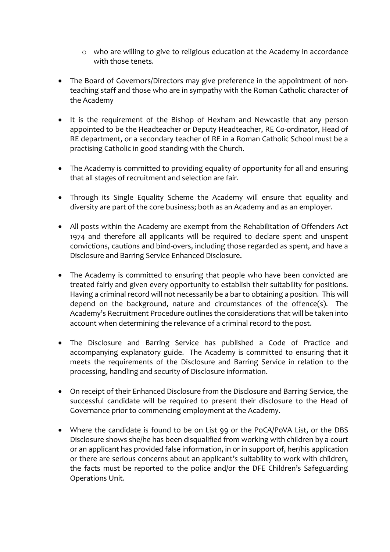- o who are willing to give to religious education at the Academy in accordance with those tenets.
- The Board of Governors/Directors may give preference in the appointment of nonteaching staff and those who are in sympathy with the Roman Catholic character of the Academy
- It is the requirement of the Bishop of Hexham and Newcastle that any person appointed to be the Headteacher or Deputy Headteacher, RE Co-ordinator, Head of RE department, or a secondary teacher of RE in a Roman Catholic School must be a practising Catholic in good standing with the Church.
- The Academy is committed to providing equality of opportunity for all and ensuring that all stages of recruitment and selection are fair.
- Through its Single Equality Scheme the Academy will ensure that equality and diversity are part of the core business; both as an Academy and as an employer.
- All posts within the Academy are exempt from the Rehabilitation of Offenders Act 1974 and therefore all applicants will be required to declare spent and unspent convictions, cautions and bind-overs, including those regarded as spent, and have a Disclosure and Barring Service Enhanced Disclosure.
- The Academy is committed to ensuring that people who have been convicted are treated fairly and given every opportunity to establish their suitability for positions. Having a criminal record will not necessarily be a bar to obtaining a position. This will depend on the background, nature and circumstances of the offence(s). The Academy's Recruitment Procedure outlines the considerations that will be taken into account when determining the relevance of a criminal record to the post.
- The Disclosure and Barring Service has published a Code of Practice and accompanying explanatory guide. The Academy is committed to ensuring that it meets the requirements of the Disclosure and Barring Service in relation to the processing, handling and security of Disclosure information.
- On receipt of their Enhanced Disclosure from the Disclosure and Barring Service, the successful candidate will be required to present their disclosure to the Head of Governance prior to commencing employment at the Academy.
- Where the candidate is found to be on List 99 or the PoCA/PoVA List, or the DBS Disclosure shows she/he has been disqualified from working with children by a court or an applicant has provided false information, in or in support of, her/his application or there are serious concerns about an applicant's suitability to work with children, the facts must be reported to the police and/or the DFE Children's Safeguarding Operations Unit.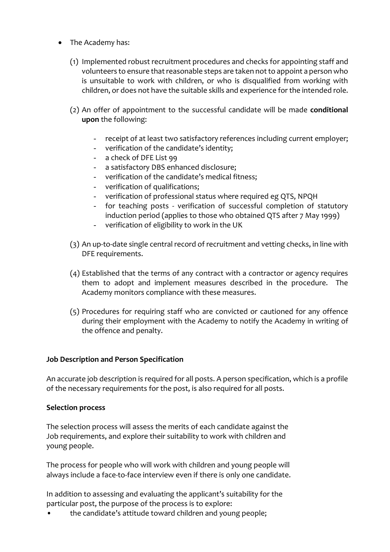- The Academy has:
	- (1) Implemented robust recruitment procedures and checks for appointing staff and volunteers to ensure that reasonable steps are taken not to appoint a person who is unsuitable to work with children, or who is disqualified from working with children, or does not have the suitable skills and experience for the intended role.
	- (2) An offer of appointment to the successful candidate will be made **conditional upon** the following:
		- receipt of at least two satisfactory references including current employer;
		- verification of the candidate's identity;
		- a check of DFE List 99
		- a satisfactory DBS enhanced disclosure;
		- verification of the candidate's medical fitness;
		- verification of qualifications;
		- verification of professional status where required eg QTS, NPQH
		- for teaching posts verification of successful completion of statutory induction period (applies to those who obtained QTS after 7 May 1999)
		- verification of eligibility to work in the UK
	- (3) An up-to-date single central record of recruitment and vetting checks, in line with DFE requirements.
	- (4) Established that the terms of any contract with a contractor or agency requires them to adopt and implement measures described in the procedure. The Academy monitors compliance with these measures.
	- (5) Procedures for requiring staff who are convicted or cautioned for any offence during their employment with the Academy to notify the Academy in writing of the offence and penalty.

#### **Job Description and Person Specification**

An accurate job description is required for all posts. A person specification, which is a profile of the necessary requirements for the post, is also required for all posts.

#### **Selection process**

The selection process will assess the merits of each candidate against the Job requirements, and explore their suitability to work with children and young people.

The process for people who will work with children and young people will always include a face-to-face interview even if there is only one candidate.

In addition to assessing and evaluating the applicant's suitability for the particular post, the purpose of the process is to explore:

• the candidate's attitude toward children and young people;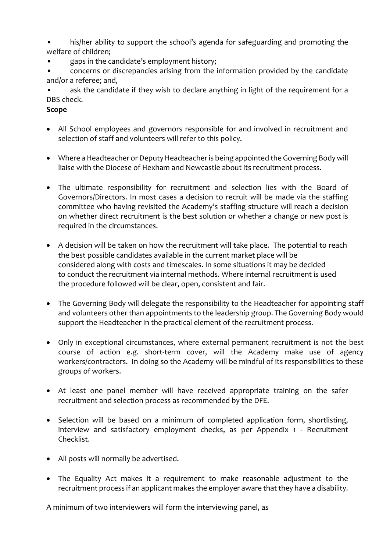his/her ability to support the school's agenda for safeguarding and promoting the welfare of children;

• gaps in the candidate's employment history;

• concerns or discrepancies arising from the information provided by the candidate and/or a referee; and,

ask the candidate if they wish to declare anything in light of the requirement for a DBS check.

# **Scope**

- All School employees and governors responsible for and involved in recruitment and selection of staff and volunteers will refer to this policy.
- Where a Headteacher or Deputy Headteacher is being appointed the Governing Body will liaise with the Diocese of Hexham and Newcastle about its recruitment process.
- The ultimate responsibility for recruitment and selection lies with the Board of Governors/Directors. In most cases a decision to recruit will be made via the staffing committee who having revisited the Academy's staffing structure will reach a decision on whether direct recruitment is the best solution or whether a change or new post is required in the circumstances.
- A decision will be taken on how the recruitment will take place. The potential to reach the best possible candidates available in the current market place will be considered along with costs and timescales. In some situations it may be decided to conduct the recruitment via internal methods. Where internal recruitment is used the procedure followed will be clear, open, consistent and fair.
- The Governing Body will delegate the responsibility to the Headteacher for appointing staff and volunteers other than appointments to the leadership group. The Governing Body would support the Headteacher in the practical element of the recruitment process.
- Only in exceptional circumstances, where external permanent recruitment is not the best course of action e.g. short-term cover, will the Academy make use of agency workers/contractors. In doing so the Academy will be mindful of its responsibilities to these groups of workers.
- At least one panel member will have received appropriate training on the safer recruitment and selection process as recommended by the DFE.
- Selection will be based on a minimum of completed application form, shortlisting, interview and satisfactory employment checks, as per Appendix 1 - Recruitment Checklist.
- All posts will normally be advertised.
- The Equality Act makes it a requirement to make reasonable adjustment to the recruitment process if an applicant makes the employer aware that they have a disability.

A minimum of two interviewers will form the interviewing panel, as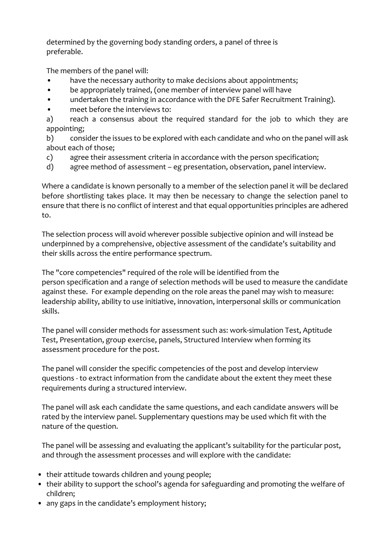determined by the governing body standing orders, a panel of three is preferable.

The members of the panel will:

- have the necessary authority to make decisions about appointments;
- be appropriately trained, (one member of interview panel will have
- undertaken the training in accordance with the DFE Safer Recruitment Training).
- meet before the interviews to:

a) reach a consensus about the required standard for the job to which they are appointing;

b) consider the issues to be explored with each candidate and who on the panel will ask about each of those;

- c) agree their assessment criteria in accordance with the person specification;
- d) agree method of assessment eg presentation, observation, panel interview.

Where a candidate is known personally to a member of the selection panel it will be declared before shortlisting takes place. It may then be necessary to change the selection panel to ensure that there is no conflict of interest and that equal opportunities principles are adhered to.

The selection process will avoid wherever possible subjective opinion and will instead be underpinned by a comprehensive, objective assessment of the candidate's suitability and their skills across the entire performance spectrum.

The "core competencies" required of the role will be identified from the person specification and a range of selection methods will be used to measure the candidate against these. For example depending on the role areas the panel may wish to measure: leadership ability, ability to use initiative, innovation, interpersonal skills or communication skills.

The panel will consider methods for assessment such as: work-simulation Test, Aptitude Test, Presentation, group exercise, panels, Structured Interview when forming its assessment procedure for the post.

The panel will consider the specific competencies of the post and develop interview questions - to extract information from the candidate about the extent they meet these requirements during a structured interview.

The panel will ask each candidate the same questions, and each candidate answers will be rated by the interview panel. Supplementary questions may be used which fit with the nature of the question.

The panel will be assessing and evaluating the applicant's suitability for the particular post, and through the assessment processes and will explore with the candidate:

- their attitude towards children and young people;
- their ability to support the school's agenda for safeguarding and promoting the welfare of children;
- any gaps in the candidate's employment history;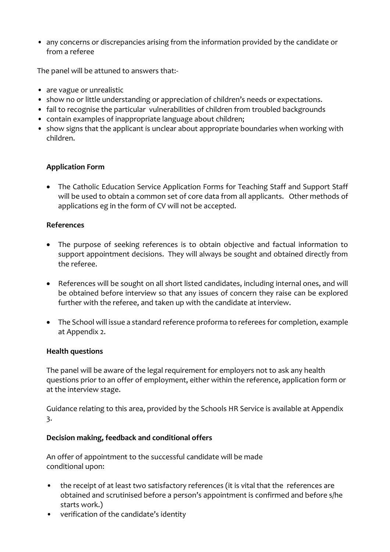• any concerns or discrepancies arising from the information provided by the candidate or from a referee

The panel will be attuned to answers that:-

- are vague or unrealistic
- show no or little understanding or appreciation of children's needs or expectations.
- fail to recognise the particular vulnerabilities of children from troubled backgrounds
- contain examples of inappropriate language about children;
- show signs that the applicant is unclear about appropriate boundaries when working with children.

# **Application Form**

• The Catholic Education Service Application Forms for Teaching Staff and Support Staff will be used to obtain a common set of core data from all applicants. Other methods of applications eg in the form of CV will not be accepted.

# **References**

- The purpose of seeking references is to obtain objective and factual information to support appointment decisions. They will always be sought and obtained directly from the referee.
- References will be sought on all short listed candidates, including internal ones, and will be obtained before interview so that any issues of concern they raise can be explored further with the referee, and taken up with the candidate at interview.
- The School will issue a standard reference proforma to referees for completion, example at Appendix 2.

# **Health questions**

The panel will be aware of the legal requirement for employers not to ask any health questions prior to an offer of employment, either within the reference, application form or at the interview stage.

Guidance relating to this area, provided by the Schools HR Service is available at Appendix 3.

# **Decision making, feedback and conditional offers**

An offer of appointment to the successful candidate will be made conditional upon:

- the receipt of at least two satisfactory references (it is vital that the references are obtained and scrutinised before a person's appointment is confirmed and before s/he starts work.)
- verification of the candidate's identity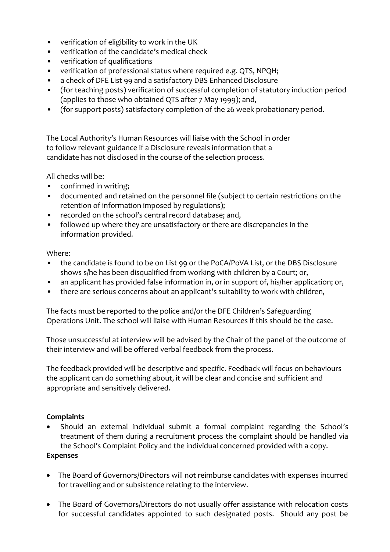- verification of eligibility to work in the UK
- verification of the candidate's medical check
- verification of qualifications
- verification of professional status where required e.g. QTS, NPQH;
- a check of DFE List 99 and a satisfactory DBS Enhanced Disclosure
- (for teaching posts) verification of successful completion of statutory induction period (applies to those who obtained QTS after 7 May 1999); and,
- (for support posts) satisfactory completion of the 26 week probationary period.

The Local Authority's Human Resources will liaise with the School in order to follow relevant guidance if a Disclosure reveals information that a candidate has not disclosed in the course of the selection process.

All checks will be:

- confirmed in writing;
- documented and retained on the personnel file (subject to certain restrictions on the retention of information imposed by regulations);
- recorded on the school's central record database; and,
- followed up where they are unsatisfactory or there are discrepancies in the information provided.

Where:

- the candidate is found to be on List 99 or the PoCA/PoVA List, or the DBS Disclosure shows s/he has been disqualified from working with children by a Court; or,
- an applicant has provided false information in, or in support of, his/her application; or,
- there are serious concerns about an applicant's suitability to work with children,

The facts must be reported to the police and/or the DFE Children's Safeguarding Operations Unit. The school will liaise with Human Resources if this should be the case.

Those unsuccessful at interview will be advised by the Chair of the panel of the outcome of their interview and will be offered verbal feedback from the process.

The feedback provided will be descriptive and specific. Feedback will focus on behaviours the applicant can do something about, it will be clear and concise and sufficient and appropriate and sensitively delivered.

#### **Complaints**

 Should an external individual submit a formal complaint regarding the School's treatment of them during a recruitment process the complaint should be handled via the School's Complaint Policy and the individual concerned provided with a copy.

# **Expenses**

- The Board of Governors/Directors will not reimburse candidates with expenses incurred for travelling and or subsistence relating to the interview.
- The Board of Governors/Directors do not usually offer assistance with relocation costs for successful candidates appointed to such designated posts. Should any post be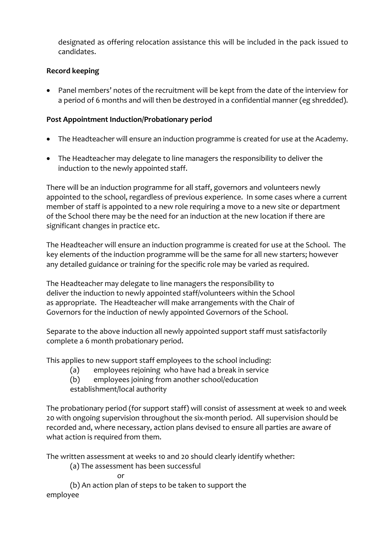designated as offering relocation assistance this will be included in the pack issued to candidates.

# **Record keeping**

 Panel members' notes of the recruitment will be kept from the date of the interview for a period of 6 months and will then be destroyed in a confidential manner (eg shredded).

# **Post Appointment Induction/Probationary period**

- The Headteacher will ensure an induction programme is created for use at the Academy.
- The Headteacher may delegate to line managers the responsibility to deliver the induction to the newly appointed staff.

There will be an induction programme for all staff, governors and volunteers newly appointed to the school, regardless of previous experience. In some cases where a current member of staff is appointed to a new role requiring a move to a new site or department of the School there may be the need for an induction at the new location if there are significant changes in practice etc.

The Headteacher will ensure an induction programme is created for use at the School. The key elements of the induction programme will be the same for all new starters; however any detailed guidance or training for the specific role may be varied as required.

The Headteacher may delegate to line managers the responsibility to deliver the induction to newly appointed staff/volunteers within the School as appropriate. The Headteacher will make arrangements with the Chair of Governors for the induction of newly appointed Governors of the School.

Separate to the above induction all newly appointed support staff must satisfactorily complete a 6 month probationary period.

This applies to new support staff employees to the school including:

- (a) employees rejoining who have had a break in service
- (b) employees joining from another school/education

establishment/local authority

The probationary period (for support staff) will consist of assessment at week 10 and week 20 with ongoing supervision throughout the six-month period. All supervision should be recorded and, where necessary, action plans devised to ensure all parties are aware of what action is required from them.

The written assessment at weeks 10 and 20 should clearly identify whether:

(a) The assessment has been successful

or

(b) An action plan of steps to be taken to support the

employee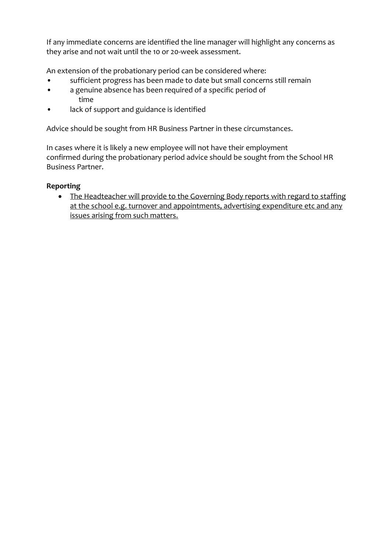If any immediate concerns are identified the line manager will highlight any concerns as they arise and not wait until the 10 or 20-week assessment.

An extension of the probationary period can be considered where:

- sufficient progress has been made to date but small concerns still remain
- a genuine absence has been required of a specific period of time
- lack of support and guidance is identified

Advice should be sought from HR Business Partner in these circumstances.

In cases where it is likely a new employee will not have their employment confirmed during the probationary period advice should be sought from the School HR Business Partner.

# **Reporting**

• The Headteacher will provide to the Governing Body reports with regard to staffing at the school e.g. turnover and appointments, advertising expenditure etc and any issues arising from such matters.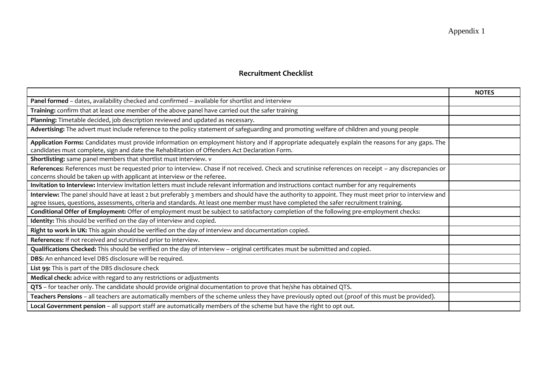# **Recruitment Checklist**

|                                                                                                                                                       | <b>NOTES</b> |
|-------------------------------------------------------------------------------------------------------------------------------------------------------|--------------|
| Panel formed - dates, availability checked and confirmed - available for shortlist and interview                                                      |              |
| Training: confirm that at least one member of the above panel have carried out the safer training                                                     |              |
| Planning: Timetable decided, job description reviewed and updated as necessary.                                                                       |              |
| Advertising: The advert must include reference to the policy statement of safeguarding and promoting welfare of children and young people             |              |
| Application Forms: Candidates must provide information on employment history and if appropriate adequately explain the reasons for any gaps. The      |              |
| candidates must complete, sign and date the Rehabilitation of Offenders Act Declaration Form.                                                         |              |
| Shortlisting: same panel members that shortlist must interview. v                                                                                     |              |
| References: References must be requested prior to interview. Chase if not received. Check and scrutinise references on receipt - any discrepancies or |              |
| concerns should be taken up with applicant at interview or the referee.                                                                               |              |
| Invitation to Interview: Interview invitation letters must include relevant information and instructions contact number for any requirements          |              |
| Interview: The panel should have at least 2 but preferably 3 members and should have the authority to appoint. They must meet prior to interview and  |              |
| agree issues, questions, assessments, criteria and standards. At least one member must have completed the safer recruitment training.                 |              |
| Conditional Offer of Employment: Offer of employment must be subject to satisfactory completion of the following pre-employment checks:               |              |
| Identity: This should be verified on the day of interview and copied.                                                                                 |              |
| Right to work in UK: This again should be verified on the day of interview and documentation copied.                                                  |              |
| References: If not received and scrutinised prior to interview.                                                                                       |              |
| Qualifications Checked: This should be verified on the day of interview - original certificates must be submitted and copied.                         |              |
| DBS: An enhanced level DBS disclosure will be required.                                                                                               |              |
| List 99: This is part of the DBS disclosure check                                                                                                     |              |
| Medical check: advice with regard to any restrictions or adjustments                                                                                  |              |
| QTS - for teacher only. The candidate should provide original documentation to prove that he/she has obtained QTS.                                    |              |
| Teachers Pensions - all teachers are automatically members of the scheme unless they have previously opted out (proof of this must be provided).      |              |
| Local Government pension - all support staff are automatically members of the scheme but have the right to opt out.                                   |              |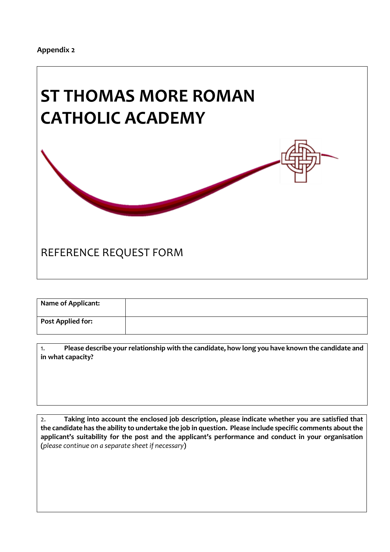

| <b>Name of Applicant:</b> |  |
|---------------------------|--|
| <b>Post Applied for:</b>  |  |

1. **Please describe your relationship with the candidate, how long you have known the candidate and in what capacity?**

2. **Taking into account the enclosed job description, please indicate whether you are satisfied that the candidate has the ability to undertake the job in question. Please include specific comments about the applicant's suitability for the post and the applicant's performance and conduct in your organisation (***please continue on a separate sheet if necessary***)**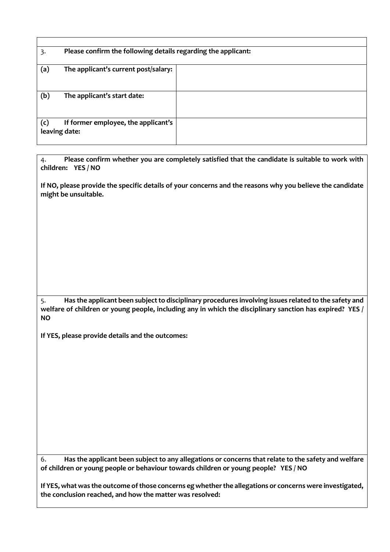| 3.  | Please confirm the following details regarding the applicant: |  |
|-----|---------------------------------------------------------------|--|
| (a) | The applicant's current post/salary:                          |  |
| (b) | The applicant's start date:                                   |  |
| (c) | If former employee, the applicant's<br>leaving date:          |  |

4. **Please confirm whether you are completely satisfied that the candidate is suitable to work with children: YES / NO**

**If NO, please provide the specific details of your concerns and the reasons why you believe the candidate might be unsuitable.**

5. **Has the applicant been subject to disciplinary procedures involving issues related to the safety and welfare of children or young people, including any in which the disciplinary sanction has expired? YES / NO**

**If YES, please provide details and the outcomes:**

6. **Has the applicant been subject to any allegations or concerns that relate to the safety and welfare of children or young people or behaviour towards children or young people? YES / NO**

**If YES, what was the outcome of those concerns eg whether the allegations or concerns were investigated, the conclusion reached, and how the matter was resolved:**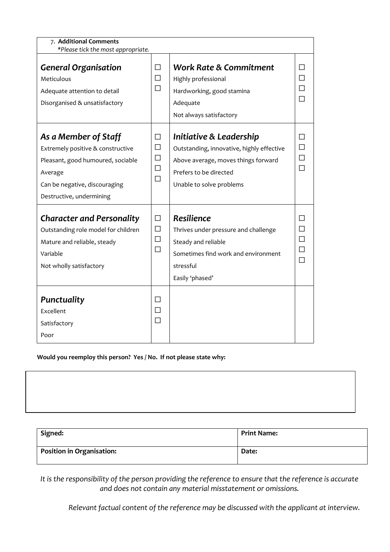| 7. Additional Comments                                                                                                                                                 |                                      |                                                                                                                                                                   |                                      |
|------------------------------------------------------------------------------------------------------------------------------------------------------------------------|--------------------------------------|-------------------------------------------------------------------------------------------------------------------------------------------------------------------|--------------------------------------|
| *Please tick the most appropriate.                                                                                                                                     |                                      |                                                                                                                                                                   |                                      |
| <b>General Organisation</b><br>Meticulous<br>Adequate attention to detail<br>Disorganised & unsatisfactory                                                             | □<br>$\Box$<br>$\Box$                | <b>Work Rate &amp; Commitment</b><br>Highly professional<br>Hardworking, good stamina<br>Adequate<br>Not always satisfactory                                      | П<br>П<br>П                          |
| As a Member of Staff<br>Extremely positive & constructive<br>Pleasant, good humoured, sociable<br>Average<br>Can be negative, discouraging<br>Destructive, undermining | П<br>$\Box$<br>$\Box$<br>$\Box$<br>П | Initiative & Leadership<br>Outstanding, innovative, highly effective<br>Above average, moves things forward<br>Prefers to be directed<br>Unable to solve problems | П<br>$\Box$<br>$\Box$<br>П           |
| <b>Character and Personality</b><br>Outstanding role model for children<br>Mature and reliable, steady<br>Variable<br>Not wholly satisfactory                          | $\Box$<br>$\Box$<br>$\Box$<br>П      | Resilience<br>Thrives under pressure and challenge<br>Steady and reliable<br>Sometimes find work and environment<br>stressful<br>Easily 'phased'                  | П<br>П<br>$\Box$<br>$\Box$<br>$\Box$ |
| Punctuality<br>Excellent<br>Satisfactory<br>Poor                                                                                                                       | П<br>П<br>$\Box$                     |                                                                                                                                                                   |                                      |

**Would you reemploy this person? Yes / No. If not please state why:**

| Signed:                          | <b>Print Name:</b> |
|----------------------------------|--------------------|
| <b>Position in Organisation:</b> | Date:              |

*It is the responsibility of the person providing the reference to ensure that the reference is accurate and does not contain any material misstatement or omissions.*

*Relevant factual content of the reference may be discussed with the applicant at interview.*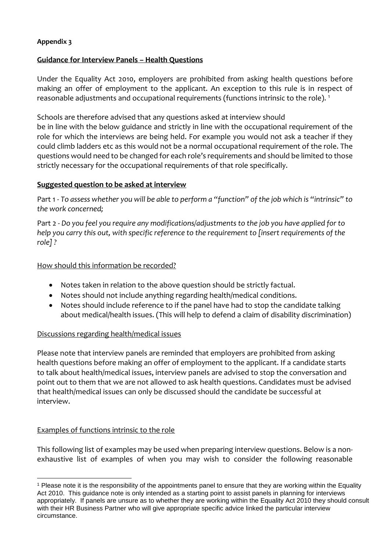# **Appendix 3**

# **Guidance for Interview Panels – Health Questions**

Under the Equality Act 2010, employers are prohibited from asking health questions before making an offer of employment to the applicant. An exception to this rule is in respect of reasonable adjustments and occupational requirements (functions intrinsic to the role). <sup>1</sup>

Schools are therefore advised that any questions asked at interview should

be in line with the below guidance and strictly in line with the occupational requirement of the role for which the interviews are being held. For example you would not ask a teacher if they could climb ladders etc as this would not be a normal occupational requirement of the role. The questions would need to be changed for each role's requirements and should be limited to those strictly necessary for the occupational requirements of that role specifically.

# **Suggested question to be asked at interview**

Part 1 - *To assess whether you will be able to perform a "function" of the job which is "intrinsic" to the work concerned;*

Part 2 - *Do you feel you require any modifications/adjustments to the job you have applied for to help you carry this out, with specific reference to the requirement to [insert requirements of the role] ?*

How should this information be recorded?

- Notes taken in relation to the above question should be strictly factual.
- Notes should not include anything regarding health/medical conditions.
- Notes should include reference to if the panel have had to stop the candidate talking about medical/health issues. (This will help to defend a claim of disability discrimination)

# Discussions regarding health/medical issues

Please note that interview panels are reminded that employers are prohibited from asking health questions before making an offer of employment to the applicant. If a candidate starts to talk about health/medical issues, interview panels are advised to stop the conversation and point out to them that we are not allowed to ask health questions. Candidates must be advised that health/medical issues can only be discussed should the candidate be successful at interview.

# Examples of functions intrinsic to the role

<u>.</u>

This following list of examples may be used when preparing interview questions. Below is a nonexhaustive list of examples of when you may wish to consider the following reasonable

<sup>1</sup> Please note it is the responsibility of the appointments panel to ensure that they are working within the Equality Act 2010. This guidance note is only intended as a starting point to assist panels in planning for interviews appropriately. If panels are unsure as to whether they are working within the Equality Act 2010 they should consult with their HR Business Partner who will give appropriate specific advice linked the particular interview circumstance.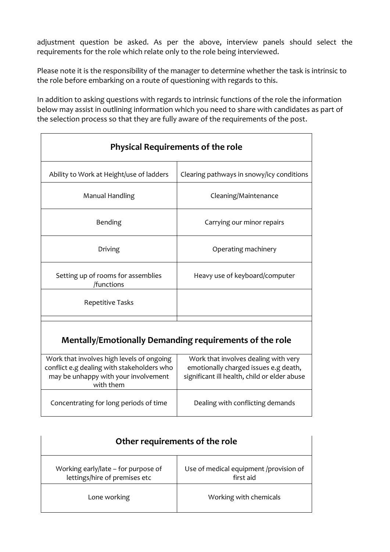adjustment question be asked. As per the above, interview panels should select the requirements for the role which relate only to the role being interviewed.

Please note it is the responsibility of the manager to determine whether the task is intrinsic to the role before embarking on a route of questioning with regards to this.

In addition to asking questions with regards to intrinsic functions of the role the information below may assist in outlining information which you need to share with candidates as part of the selection process so that they are fully aware of the requirements of the post.

| <b>Physical Requirements of the role</b>                                                                                                     |                                                                                                                               |  |
|----------------------------------------------------------------------------------------------------------------------------------------------|-------------------------------------------------------------------------------------------------------------------------------|--|
| Ability to Work at Height/use of ladders                                                                                                     | Clearing pathways in snowy/icy conditions                                                                                     |  |
| Manual Handling                                                                                                                              | Cleaning/Maintenance                                                                                                          |  |
| Bending                                                                                                                                      | Carrying our minor repairs                                                                                                    |  |
| Driving                                                                                                                                      | Operating machinery                                                                                                           |  |
| Setting up of rooms for assemblies<br>/functions                                                                                             | Heavy use of keyboard/computer                                                                                                |  |
| <b>Repetitive Tasks</b>                                                                                                                      |                                                                                                                               |  |
| Mentally/Emotionally Demanding requirements of the role                                                                                      |                                                                                                                               |  |
| Work that involves high levels of ongoing<br>conflict e.g dealing with stakeholders who<br>may be unhappy with your involvement<br>with them | Work that involves dealing with very<br>emotionally charged issues e.g death,<br>significant ill health, child or elder abuse |  |
| Concentrating for long periods of time                                                                                                       | Dealing with conflicting demands                                                                                              |  |

| Other requirements of the role                                       |                                                     |  |
|----------------------------------------------------------------------|-----------------------------------------------------|--|
| Working early/late – for purpose of<br>lettings/hire of premises etc | Use of medical equipment /provision of<br>first aid |  |
| Lone working                                                         | Working with chemicals                              |  |